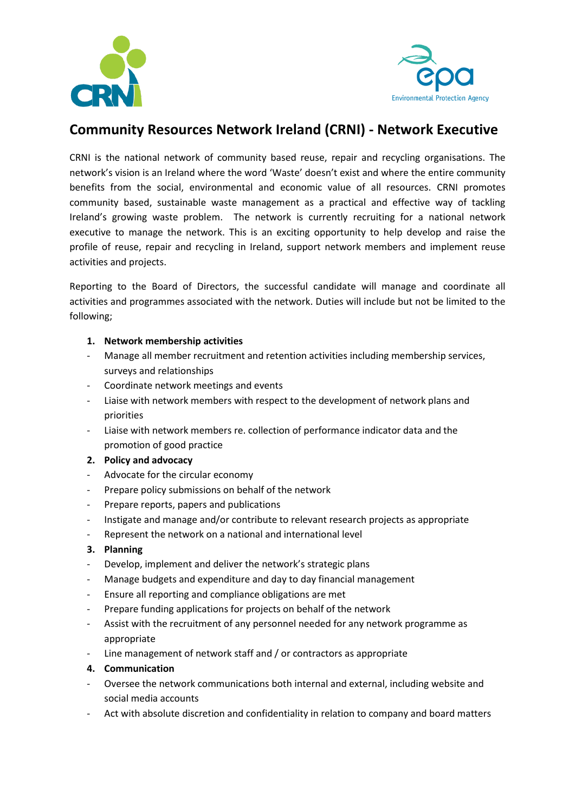



# **Community Resources Network Ireland (CRNI) - Network Executive**

CRNI is the national network of community based reuse, repair and recycling organisations. The network's vision is an Ireland where the word 'Waste' doesn't exist and where the entire community benefits from the social, environmental and economic value of all resources. CRNI promotes community based, sustainable waste management as a practical and effective way of tackling Ireland's growing waste problem. The network is currently recruiting for a national network executive to manage the network. This is an exciting opportunity to help develop and raise the profile of reuse, repair and recycling in Ireland, support network members and implement reuse activities and projects.

Reporting to the Board of Directors, the successful candidate will manage and coordinate all activities and programmes associated with the network. Duties will include but not be limited to the following;

### **1. Network membership activities**

- Manage all member recruitment and retention activities including membership services, surveys and relationships
- Coordinate network meetings and events
- Liaise with network members with respect to the development of network plans and priorities
- Liaise with network members re. collection of performance indicator data and the promotion of good practice

## **2. Policy and advocacy**

- Advocate for the circular economy
- Prepare policy submissions on behalf of the network
- Prepare reports, papers and publications
- Instigate and manage and/or contribute to relevant research projects as appropriate
- Represent the network on a national and international level

#### **3. Planning**

- Develop, implement and deliver the network's strategic plans
- Manage budgets and expenditure and day to day financial management
- Ensure all reporting and compliance obligations are met
- Prepare funding applications for projects on behalf of the network
- Assist with the recruitment of any personnel needed for any network programme as appropriate
- Line management of network staff and / or contractors as appropriate

#### **4. Communication**

- Oversee the network communications both internal and external, including website and social media accounts
- Act with absolute discretion and confidentiality in relation to company and board matters